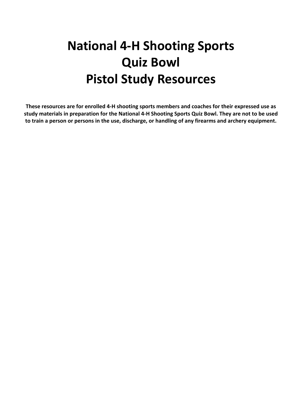# **National 4-H Shooting Sports Quiz Bowl Pistol Study Resources**

**These resources are for enrolled 4-H shooting sports members and coaches for their expressed use as study materials in preparation for the National 4-H Shooting Sports Quiz Bowl. They are not to be used to train a person or persons in the use, discharge, or handling of any firearms and archery equipment.**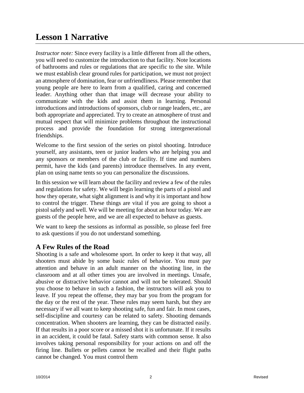# **Lesson 1 Narrative**

*Instructor note:* Since every facility is a little different from all the others, you will need to customize the introduction to that facility. Note locations of bathrooms and rules or regulations that are specific to the site. While we must establish clear ground rules for participation, we must not project an atmosphere of domination, fear or unfriendliness. Please remember that young people are here to learn from a qualified, caring and concerned leader. Anything other than that image will decrease your ability to communicate with the kids and assist them in learning. Personal introductions and introductions of sponsors, club or range leaders, etc., are both appropriate and appreciated. Try to create an atmosphere of trust and mutual respect that will minimize problems throughout the instructional process and provide the foundation for strong intergenerational friendships.

Welcome to the first session of the series on pistol shooting. Introduce yourself, any assistants, teen or junior leaders who are helping you and any sponsors or members of the club or facility. If time and numbers permit, have the kids (and parents) introduce themselves. In any event, plan on using name tents so you can personalize the discussions.

In this session we will learn about the facility and review a few of the rules and regulations for safety. We will begin learning the parts of a pistol and how they operate, what sight alignment is and why it is important and how to control the trigger. These things are vital if you are going to shoot a pistol safely and well. We will be meeting for about an hour today. We are guests of the people here, and we are all expected to behave as guests.

We want to keep the sessions as informal as possible, so please feel free to ask questions if you do not understand something.

#### **A Few Rules of the Road**

Shooting is a safe and wholesome sport. In order to keep it that way, all shooters must abide by some basic rules of behavior. You must pay attention and behave in an adult manner on the shooting line, in the classroom and at all other times you are involved in meetings. Unsafe, abusive or distractive behavior cannot and will not be tolerated. Should you choose to behave in such a fashion, the instructors will ask you to leave. If you repeat the offense, they may bar you from the program for the day or the rest of the year. These rules may seem harsh, but they are necessary if we all want to keep shooting safe, fun and fair. In most cases, self-discipline and courtesy can be related to safety. Shooting demands concentration. When shooters are learning, they can be distracted easily. If that results in a poor score or a missed shot it is unfortunate. If it results in an accident, it could be fatal. Safety starts with common sense. It also involves taking personal responsibility for your actions on and off the firing line. Bullets or pellets cannot be recalled and their flight paths cannot be changed. You must control them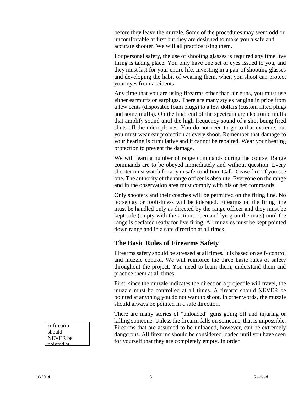before they leave the muzzle. Some of the procedures may seem odd or uncomfortable at first but they are designed to make you a safe and accurate shooter. We will all practice using them.

For personal safety, the use of shooting glasses is required any time live firing is taking place. You only have one set of eyes issued to you, and they must last for your entire life. Investing in a pair of shooting glasses and developing the habit of wearing them, when you shoot can protect your eyes from accidents.

Any time that you are using firearms other than air guns, you must use either earmuffs or earplugs. There are many styles ranging in price from a few cents (disposable foam plugs) to a few dollars (custom fitted plugs and some muffs). On the high end of the spectrum are electronic muffs that amplify sound until the high frequency sound of a shot being fired shuts off the microphones. You do not need to go to that extreme, but you must wear ear protection at every shoot. Remember that damage to your hearing is cumulative and it cannot be repaired. Wear your hearing protection to prevent the damage.

We will learn a number of range commands during the course. Range commands are to be obeyed immediately and without question. Every shooter must watch for any unsafe condition. Call "Cease fire" if you see one. The authority of the range officer is absolute. Everyone on the range and in the observation area must comply with his or her commands.

Only shooters and their coaches will be permitted on the firing line. No horseplay or foolishness will be tolerated. Firearms on the firing line must be handled only as directed by the range officer and they must be kept safe (empty with the actions open and lying on the mats) until the range is declared ready for live firing. All muzzles must be kept pointed down range and in a safe direction at all times.

#### **The Basic Rules of Firearms Safety**

Firearms safety should be stressed at all times. It is based on self- control and muzzle control. We will reinforce the three basic rules of safety throughout the project. You need to learn them, understand them and practice them at all times.

First, since the muzzle indicates the direction a projectile will travel, the muzzle must be controlled at all times. A firearm should NEVER be pointed at anything you do not want to shoot. In other words, the muzzle should always be pointed in a safe direction.

There are many stories of "unloaded" guns going off and injuring or killing someone. Unless the firearm falls on someone, that is impossible. Firearms that are assumed to be unloaded, however, can be extremely dangerous. All firearms should be considered loaded until you have seen for yourself that they are completely empty. In order

A firearm should NEVER be pointed at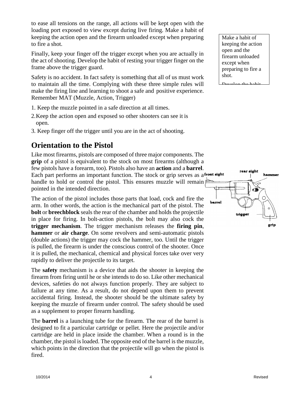to ease all tensions on the range, all actions will be kept open with the loading port exposed to view except during live firing. Make a habit of keeping the action open and the firearm unloaded except when preparing to fire a shot.

Finally, keep your finger off the trigger except when you are actually in the act of shooting. Develop the habit of resting your trigger finger on the frame above the trigger guard.

Safety is no accident. In fact safety is something that all of us must work to maintain all the time. Complying with these three simple rules will make the firing line and learning to shoot a safe and positive experience. Remember MAT (Muzzle, Action, Trigger)

- 1. Keep the muzzle pointed in a safe direction at all times.
- 2.Keep the action open and exposed so other shooters can see it is open.
- 3. Keep finger off the trigger until you are in the act of shooting.

#### **Orientation to the Pistol**

Like most firearms, pistols are composed of three major components. The **grip** of a pistol is equivalent to the stock on most firearms (although a few pistols have a forearm, too). Pistols also have an **action** and a **barrel**. Each part performs an important function. The stock or grip serves as a front sight handle to hold or control the pistol. This ensures muzzle will remain pointed in the intended direction.

The action of the pistol includes those parts that load, cock and fire the arm. In other words, the action is the mechanical part of the pistol. The **bolt** or **breechblock** seals the rear of the chamber and holds the projectile in place for firing. In bolt-action pistols, the bolt may also cock the **trigger mechanism**. The trigger mechanism releases the **firing pin**, **hammer** or **air charge**. On some revolvers and semi-automatic pistols (double actions) the trigger may cock the hammer, too. Until the trigger is pulled, the firearm is under the conscious control of the shooter. Once it is pulled, the mechanical, chemical and physical forces take over very rapidly to deliver the projectile to its target.

The **safety** mechanism is a device that aids the shooter in keeping the firearm from firing until he or she intends to do so. Like other mechanical devices, safeties do not always function properly. They are subject to failure at any time. As a result, do not depend upon them to prevent accidental firing. Instead, the shooter should be the ultimate safety by keeping the muzzle of firearm under control. The safety should be used as a supplement to proper firearm handling.

The **barrel** is a launching tube for the firearm. The rear of the barrel is designed to fit a particular cartridge or pellet. Here the projectile and/or cartridge are held in place inside the chamber. When a round is in the chamber, the pistol is loaded. The opposite end of the barrel is the muzzle, which points in the direction that the projectile will go when the pistol is fired.

Make a habit of keeping the action open and the firearm unloaded except when preparing to fire a shot.

Develop the habit

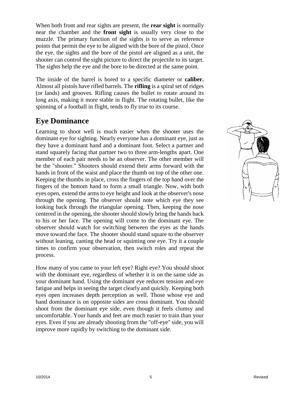When both front and rear sights are present, the **rear sight** is normally near the chamber and the **front sight** is usually very close to the muzzle. The primary function of the sights is to serve as reference points that permit the eye to be aligned with the bore of the pistol. Once the eye, the sights and the bore of the pistol are aligned as a unit, the shooter can control the sight picture to direct the projectile to its target. The sights help the eye and the bore to be directed at the same point.

The inside of the barrel is bored to a specific diameter or **caliber.**  Almost all pistols have rifled barrels. The **rifling** is a spiral set of ridges (or lands) and grooves. Rifling causes the bullet to rotate around its long axis, making it more stable in flight. The rotating bullet, like the spinning of a football in flight, tends to fly true to its course.

## **Eye Dominance**

Learning to shoot well is much easier when the shooter uses the dominant eye for sighting. Nearly everyone has a dominant eye, just as they have a dominant hand and a dominant foot. Select a partner and stand squarely facing that partner two to three arm-lengths apart. One member of each pair needs to be an observer. The other member will be the "shooter." Shooters should extend their arms forward with the hands in front of the waist and place the thumb on top of the other one. Keeping the thumbs in place, cross the fingers of the top hand over the fingers of the bottom hand to form a small triangle. Now, with both eyes open, extend the arms to eye height and look at the observer's nose through the opening. The observer should note which eye they see looking back through the triangular opening. Then, keeping the nose centered in the opening, the shooter should slowly bring the hands back to his or her face. The opening will come to the dominant eye. The observer should watch for switching between the eyes as the hands move toward the face. The shooter should stand square to the observer without leaning, canting the head or squinting one eye. Try it a couple times to confirm your observation, then switch roles and repeat the process.

How many of you came to your left eye? Right eye? You should shoot with the dominant eye, regardless of whether it is on the same side as your dominant hand. Using the dominant eye reduces tension and eye fatigue and helps in seeing the target clearly and quickly. Keeping both eyes open increases depth perception as well. Those whose eye and hand dominance is on opposite sides are cross dominant. You should shoot from the dominant eye side, even though it feels clumsy and uncomfortable. Your hands and feet are much easier to train than your eyes. Even if you are already shooting from the "off-eye" side, you will improve more rapidly by switching to the dominant side.

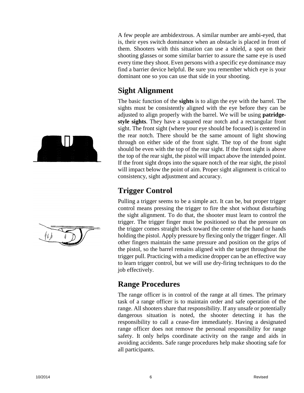A few people are ambidextrous. A similar number are ambi-eyed, that is, their eyes switch dominance when an obstacle is placed in front of them. Shooters with this situation can use a shield, a spot on their shooting glasses or some similar barrier to assure the same eye is used every time they shoot. Even persons with a specific eye dominance may find a barrier device helpful. Be sure you remember which eye is your dominant one so you can use that side in your shooting.

#### **Sight Alignment**

The basic function of the **sights** is to align the eye with the barrel. The sights must be consistently aligned with the eye before they can be adjusted to align properly with the barrel. We will be using **patridgestyle sights**. They have a squared rear notch and a rectangular front sight. The front sight (where your eye should be focused) is centered in the rear notch. There should be the same amount of light showing through on either side of the front sight. The top of the front sight should be even with the top of the rear sight. If the front sight is above the top of the rear sight, the pistol will impact above the intended point. If the front sight drops into the square notch of the rear sight, the pistol will impact below the point of aim. Proper sight alignment is critical to consistency, sight adjustment and accuracy.

# **Trigger Control**

Pulling a trigger seems to be a simple act. It can be, but proper trigger control means pressing the trigger to fire the shot without disturbing the sight alignment. To do that, the shooter must learn to control the trigger. The trigger finger must be positioned so that the pressure on the trigger comes straight back toward the center of the hand or hands holding the pistol. Apply pressure by flexing only the trigger finger. All other fingers maintain the same pressure and position on the grips of the pistol, so the barrel remains aligned with the target throughout the trigger pull. Practicing with a medicine dropper can be an effective way to learn trigger control, but we will use dry-firing techniques to do the job effectively.

#### **Range Procedures**

The range officer is in control of the range at all times. The primary task of a range officer is to maintain order and safe operation of the range. All shooters share that responsibility. If any unsafe or potentially dangerous situation is noted, the shooter detecting it has the responsibility to call a cease-fire immediately. Having a designated range officer does not remove the personal responsibility for range safety. It only helps coordinate activity on the range and aids in avoiding accidents. Safe range procedures help make shooting safe for all participants.



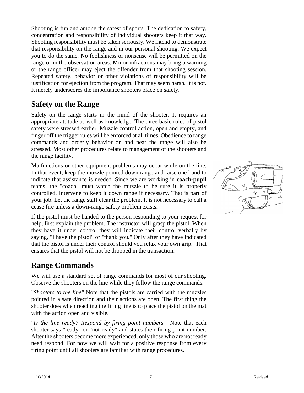Shooting is fun and among the safest of sports. The dedication to safety, concentration and responsibility of individual shooters keep it that way. Shooting responsibility must be taken seriously. We intend to demonstrate that responsibility on the range and in our personal shooting. We expect you to do the same. No foolishness or nonsense will be permitted on the range or in the observation areas. Minor infractions may bring a warning or the range officer may eject the offender from that shooting session. Repeated safety, behavior or other violations of responsibility will be justification for ejection from the program. That may seem harsh. It is not. It merely underscores the importance shooters place on safety.

#### **Safety on the Range**

Safety on the range starts in the mind of the shooter. It requires an appropriate attitude as well as knowledge. The three basic rules of pistol safety were stressed earlier. Muzzle control action, open and empty, and finger off the trigger rules will be enforced at all times. Obedience to range commands and orderly behavior on and near the range will also be stressed. Most other procedures relate to management of the shooters and the range facility.

Malfunctions or other equipment problems may occur while on the line. In that event, keep the muzzle pointed down range and raise one hand to indicate that assistance is needed. Since we are working in **coach-pupil**  teams, the "coach" must watch the muzzle to be sure it is properly controlled. Intervene to keep it down range if necessary. That is part of your job. Let the range staff clear the problem. It is not necessary to call a cease fire unless a down-range safety problem exists.

If the pistol must be handed to the person responding to your request for help, first explain the problem. The instructor will grasp the pistol. When they have it under control they will indicate their control verbally by saying, "I have the pistol" or "thank you." Only after they have indicated that the pistol is under their control should you relax your own grip. That ensures that the pistol will not be dropped in the transaction.

#### **Range Commands**

We will use a standard set of range commands for most of our shooting. Observe the shooters on the line while they follow the range commands.

"*Shooters to the line"* Note that the pistols are carried with the muzzles pointed in a safe direction and their actions are open. The first thing the shooter does when reaching the firing line is to place the pistol on the mat with the action open and visible.

"*Is the line ready? Respond by firing point numbers."* Note that each shooter says "ready" or "not ready" and states their firing point number. After the shooters become more experienced, only those who are not ready need respond. For now we will wait for a positive response from every firing point until all shooters are familiar with range procedures.

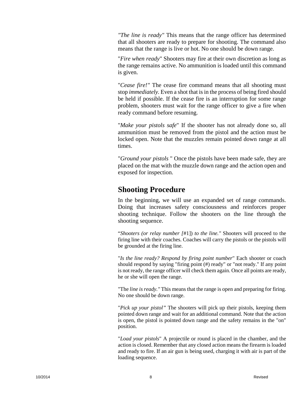*"The line is ready"* This means that the range officer has determined that all shooters are ready to prepare for shooting. The command also means that the range is live or hot. No one should be down range.

"*Fire when ready*" Shooters may fire at their own discretion as long as the range remains active. No ammunition is loaded until this command is given.

"*Cease fire!"* The cease fire command means that all shooting must stop *immediately.* Even a shot that is in the process of being fired should be held if possible. If the cease fire is an interruption for some range problem, shooters must wait for the range officer to give a fire when ready command before resuming.

"*Make your pistols safe*" If the shooter has not already done so, all ammunition must be removed from the pistol and the action must be locked open. Note that the muzzles remain pointed down range at all times.

"*Ground your pistols* " Once the pistols have been made safe, they are placed on the mat with the muzzle down range and the action open and exposed for inspection.

#### **Shooting Procedure**

In the beginning, we will use an expanded set of range commands. Doing that increases safety consciousness and reinforces proper shooting technique. Follow the shooters on the line through the shooting sequence.

"*Shooters (or relay number [*#1]) *to the line."* Shooters will proceed to the firing line with their coaches. Coaches will carry the pistols or the pistols will be grounded at the firing line.

"*Is the line ready? Respond by firing point number*" Each shooter or coach should respond by saying "firing point (#) ready" or "not ready." If any point is not ready, the range officer will check them again. Once all points are ready, he or she will open the range.

"The *line is ready."* This means that the range is open and preparing for firing. No one should be down range.

"*Pick up your pistol"* The shooters will pick up their pistols, keeping them pointed down range and wait for an additional command. Note that the action is open, the pistol is pointed down range and the safety remains in the "on" position.

"*Load your pistols*" A projectile or round is placed in the chamber, and the action is closed. Remember that any closed action means the firearm is loaded and ready to fire. If an air gun is being used, charging it with air is part of the loading sequence.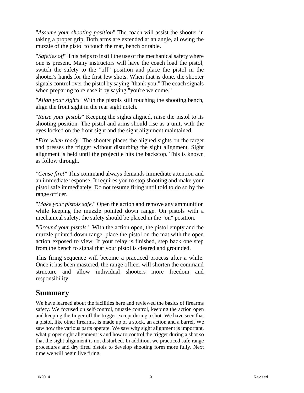"*Assume your shooting position*" The coach will assist the shooter in taking a proper grip. Both arms are extended at an angle, allowing the muzzle of the pistol to touch the mat, bench or table.

"*Safeties off*" This helps to instill the use of the mechanical safety where one is present. Many instructors will have the coach load the pistol, switch the safety to the "off" position and place the pistol in the shooter's hands for the first few shots. When that is done, the shooter signals control over the pistol by saying "thank you." The coach signals when preparing to release it by saying "you're welcome."

"*Align your sights*" With the pistols still touching the shooting bench, align the front sight in the rear sight notch.

"*Raise your pistols*" Keeping the sights aligned, raise the pistol to its shooting position. The pistol and arms should rise as a unit, with the eyes locked on the front sight and the sight alignment maintained.

"*Fire when ready*" The shooter places the aligned sights on the target and presses the trigger without disturbing the sight alignment. Sight alignment is held until the projectile hits the backstop. This is known as follow through.

*"Cease fire!"* This command always demands immediate attention and an immediate response. It requires you to stop shooting and make your pistol safe immediately. Do not resume firing until told to do so by the range officer.

"*Make your pistols safe.*" Open the action and remove any ammunition while keeping the muzzle pointed down range. On pistols with a mechanical safety, the safety should be placed in the "on" position.

"*Ground your pistols* " With the action open, the pistol empty and the muzzle pointed down range, place the pistol on the mat with the open action exposed to view. If your relay is finished, step back one step from the bench to signal that your pistol is cleared and grounded.

This firing sequence will become a practiced process after a while. Once it has been mastered, the range officer will shorten the command structure and allow individual shooters more freedom and responsibility.

#### **Summary**

We have learned about the facilities here and reviewed the basics of firearms safety. We focused on self-control, muzzle control, keeping the action open and keeping the finger off the trigger except during a shot. We have seen that a pistol, like other firearms, is made up of a stock, an action and a barrel. We saw how the various parts operate. We saw why sight alignment is important, what proper sight alignment is and how to control the trigger during a shot so that the sight alignment is not disturbed. In addition, we practiced safe range procedures and dry fired pistols to develop shooting form more fully. Next time we will begin live firing.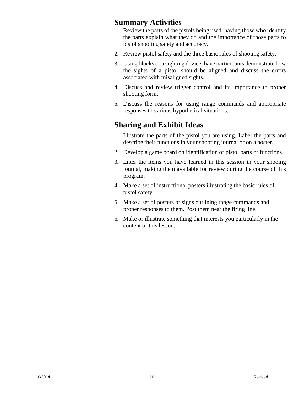#### **Summary Activities**

- 1. Review the parts of the pistols being used, having those who identify the parts explain what they do and the importance of those parts to pistol shooting safety and accuracy.
- 2. Review pistol safety and the three basic rules of shooting safety.
- 3. Using blocks or a sighting device, have participants demonstrate how the sights of a pistol should be aligned and discuss the errors associated with misaligned sights.
- 4. Discuss and review trigger control and its importance to proper shooting form.
- 5. Discuss the reasons for using range commands and appropriate responses to various hypothetical situations.

## **Sharing and Exhibit Ideas**

- 1. Illustrate the parts of the pistol you are using. Label the parts and describe their functions in your shooting journal or on a poster.
- 2. Develop a game board on identification of pistol parts or functions.
- 3. Enter the items you have learned in this session in your shooing journal, making them available for review during the course of this program.
- 4. Make a set of instructional posters illustrating the basic rules of pistol safety.
- 5. Make a set of posters or signs outlining range commands and proper responses to them. Post them near the firing line.
- 6. Make or illustrate something that interests you particularly in the content of this lesson.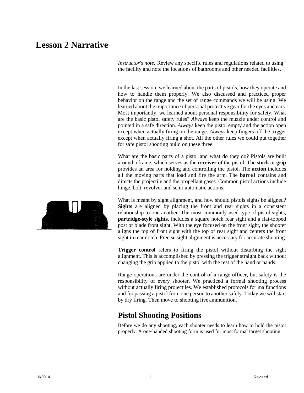*Instructor's note:* Review any specific rules and regulations related to using the facility and note the locations of bathrooms and other needed facilities.

In the last session, we learned about the parts of pistols, how they operate and how to handle them properly. We also discussed and practiced proper behavior on the range and the set of range commands we will be using. We learned about the importance of personal protective gear for the eyes and ears. Most importantly, we learned about personal responsibility for safety. What are the basic pistol safety rules? *Always* keep the muzzle under control and pointed in a safe direction. *Always* keep the pistol empty and the action open except when actually firing on the range. *Always* keep fingers off the trigger except when actually firing a shot. All the other rules we could put together for safe pistol shooting build on these three.

What are the basic parts of a pistol and what do they do? Pistols are built around a frame, which serves as the **receiver** of the pistol. The **stock** or **grip**  provides an area for holding and controlling the pistol. The **action** includes all the moving parts that load and fire the arm. The **barre1** contains and directs the projectile and the propellant gases. Common pistol actions include hinge, bolt, revolver and semi-automatic actions.

What is meant by sight alignment, and how should pistols sights be aligned? **Sights** are aligned by placing the front and rear sights in a consistent relationship to one another. The most commonly used type of pistol sights, **partridge-style sights**, includes a square notch rear sight and a flat-topped post or blade front sight. With the eye focused on the front sight, the shooter aligns the top of front sight with the top of rear sight and centers the front sight in rear notch. Precise sight alignment is necessary for accurate shooting.

**Trigger control** refers to firing the pistol without disturbing the sight alignment. This is accomplished by pressing the trigger straight back without changing the grip applied to the pistol with the rest of the hand or hands.

Range operations are under the control of a range officer, but safety is the responsibility of every shooter. We practiced a formal shooting process without actually firing projectiles. We established protocols for malfunctions and for passing a pistol form one person to another safely. Today we will start by dry firing. Then move to shooting live ammunition.

#### **Pistol Shooting Positions**

Before we do any shooting, each shooter needs to learn how to hold the pistol properly. A one-handed shooting form is used for most formal target shooting

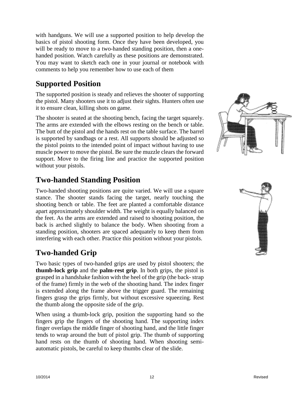with handguns. We will use a supported position to help develop the basics of pistol shooting form. Once they have been developed, you will be ready to move to a two-handed standing position, then a onehanded position. Watch carefully as these positions are demonstrated. You may want to sketch each one in your journal or notebook with comments to help you remember how to use each of them

# **Supported Position**

The supported position is steady and relieves the shooter of supporting the pistol. Many shooters use it to adjust their sights. Hunters often use it to ensure clean, killing shots on game.

The shooter is seated at the shooting bench, facing the target squarely. The arms are extended with the elbows resting on the bench or table. The butt of the pistol and the hands rest on the table surface. The barrel is supported by sandbags or a rest. All supports should be adjusted so the pistol points to the intended point of impact without having to use muscle power to move the pistol. Be sure the muzzle clears the forward support. Move to the firing line and practice the supported position without your pistols.

## **Two-handed Standing Position**

Two-handed shooting positions are quite varied. We will use a square stance. The shooter stands facing the target, nearly touching the shooting bench or table. The feet are planted a comfortable distance apart approximately shoulder width. The weight is equally balanced on the feet. As the arms are extended and raised to shooting position, the back is arched slightly to balance the body. When shooting from a standing position, shooters are spaced adequately to keep them from interfering with each other. Practice this position without your pistols.

# **Two-handed Grip**

Two basic types of two-handed grips are used by pistol shooters; the **thumb-lock grip** and the **palm-rest grip**. In both grips, the pistol is grasped in a handshake fashion with the heel of the grip (the back- strap of the frame) firmly in the web of the shooting hand. The index finger is extended along the frame above the trigger guard. The remaining fingers grasp the grips firmly, but without excessive squeezing. Rest the thumb along the opposite side of the grip.

When using a thumb-lock grip, position the supporting hand so the fingers grip the fingers of the shooting hand. The supporting index finger overlaps the middle finger of shooting hand, and the little finger tends to wrap around the butt of pistol grip. The thumb of supporting hand rests on the thumb of shooting hand. When shooting semiautomatic pistols, be careful to keep thumbs clear of the slide.



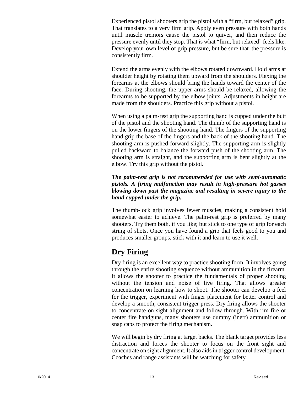Experienced pistol shooters grip the pistol with a "firm, but relaxed" grip. That translates to a very firm grip. Apply even pressure with both hands until muscle tremors cause the pistol to quiver, and then reduce the pressure evenly until they stop. That is what "firm, but relaxed" feels like. Develop your own level of grip pressure, but be sure that the pressure is consistently firm.

Extend the arms evenly with the elbows rotated downward. Hold arms at shoulder height by rotating them upward from the shoulders. Flexing the forearms at the elbows should bring the hands toward the center of the face. During shooting, the upper arms should be relaxed, allowing the forearms to be supported by the elbow joints. Adjustments in height are made from the shoulders. Practice this grip without a pistol.

When using a palm-rest grip the supporting hand is cupped under the butt of the pistol and the shooting hand. The thumb of the supporting hand is on the lower fingers of the shooting hand. The fingers of the supporting hand grip the base of the fingers and the back of the shooting hand. The shooting arm is pushed forward slightly. The supporting arm is slightly pulled backward to balance the forward push of the shooting arm. The shooting arm is straight, and the supporting arm is bent slightly at the elbow. Try this grip without the pistol.

#### *The palm-rest grip is not recommended for use with semi-automatic pistols. A firing malfunction may result in high-pressure hot gasses blowing down past the magazine and resulting in severe injury to the hand cupped under the grip.*

The thumb-lock grip involves fewer muscles, making a consistent hold somewhat easier to achieve. The palm-rest grip is preferred by many shooters. Try them both, if you like; but stick to one type of grip for each string of shots. Once you have found a grip that feels good to you and produces smaller groups, stick with it and learn to use it well.

# **Dry Firing**

Dry firing is an excellent way to practice shooting form. It involves going through the entire shooting sequence without ammunition in the firearm. It allows the shooter to practice the fundamentals of proper shooting without the tension and noise of live firing. That allows greater concentration on learning how to shoot. The shooter can develop a feel for the trigger, experiment with finger placement for better control and develop a smooth, consistent trigger press. Dry firing allows the shooter to concentrate on sight alignment and follow through. With rim fire or center fire handguns, many shooters use dummy (inert) ammunition or snap caps to protect the firing mechanism.

We will begin by dry firing at target backs. The blank target provides less distraction and forces the shooter to focus on the front sight and concentrate on sight alignment. It also aids in trigger control development. Coaches and range assistants will be watching for safety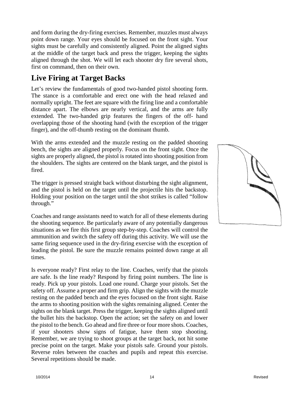and form during the dry-firing exercises. Remember, muzzles must always point down range. Your eyes should be focused on the front sight. Your sights must be carefully and consistently aligned. Point the aligned sights at the middle of the target back and press the trigger, keeping the sights aligned through the shot. We will let each shooter dry fire several shots, first on command, then on their own.

# **Live Firing at Target Backs**

Let's review the fundamentals of good two-handed pistol shooting form. The stance is a comfortable and erect one with the head relaxed and normally upright. The feet are square with the firing line and a comfortable distance apart. The elbows are nearly vertical, and the arms are fully extended. The two-handed grip features the fingers of the off- hand overlapping those of the shooting hand (with the exception of the trigger finger), and the off-thumb resting on the dominant thumb.

With the arms extended and the muzzle resting on the padded shooting bench, the sights are aligned properly. Focus on the front sight. Once the sights are properly aligned, the pistol is rotated into shooting position from the shoulders. The sights are centered on the blank target, and the pistol is fired.

The trigger is pressed straight back without disturbing the sight alignment, and the pistol is held on the target until the projectile hits the backstop. Holding your position on the target until the shot strikes is called "follow through."

Coaches and range assistants need to watch for all of these elements during the shooting sequence. Be particularly aware of any potentially dangerous situations as we fire this first group step-by-step. Coaches will control the ammunition and switch the safety off during this activity. We will use the same firing sequence used in the dry-firing exercise with the exception of leading the pistol. Be sure the muzzle remains pointed down range at all times.

Is everyone ready? First relay to the line. Coaches, verify that the pistols are safe. Is the line ready? Respond by firing point numbers. The line is ready. Pick up your pistols. Load one round. Charge your pistols. Set the safety off. Assume a proper and firm grip. Align the sights with the muzzle resting on the padded bench and the eyes focused on the front sight. Raise the arms to shooting position with the sights remaining aligned. Center the sights on the blank target. Press the trigger, keeping the sights aligned until the bullet hits the backstop. Open the action; set the safety on and lower the pistol to the bench. Go ahead and fire three or four more shots. Coaches, if your shooters show signs of fatigue, have them stop shooting. Remember, we are trying to shoot groups at the target back, not hit some precise point on the target. Make your pistols safe. Ground your pistols. Reverse roles between the coaches and pupils and repeat this exercise. Several repetitions should be made.

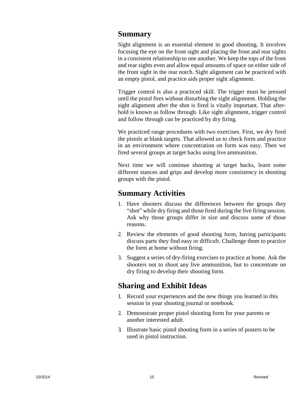#### **Summary**

Sight alignment is an essential element in good shooting. It involves focusing the eye on the front sight and placing the front and rear sights in a consistent relationship to one another. We keep the tops of the front and rear sights even and allow equal amounts of space on either side of the front sight in the rear notch. Sight alignment can be practiced with an empty pistol, and practice aids proper sight alignment.

Trigger control is also a practiced skill. The trigger must be pressed until the pistol fires without disturbing the sight alignment. Holding the sight alignment after the shot is fired is vitally important. That afterhold is known as follow through. Like sight alignment, trigger control and follow through can be practiced by dry firing.

We practiced range procedures with two exercises. First, we dry fired the pistols at blank targets. That allowed us to check form and practice in an environment where concentration on form was easy. Then we fired several groups at target backs using live ammunition.

Next time we will continue shooting at target backs, learn some different stances and grips and develop more consistency in shooting groups with the pistol.

## **Summary Activities**

- 1. Have shooters discuss the differences between the groups they "shot" while dry firing and those fired during the live firing session. Ask why those groups differ in size and discuss some of those reasons.
- 2. Review the elements of good shooting form, having participants discuss parts they find easy or difficult. Challenge them to practice the form at home without firing.
- 3. Suggest a series of dry-firing exercises to practice at home. Ask the shooters not to shoot any live ammunition, but to concentrate on dry firing to develop their shooting form.

#### **Sharing and Exhibit Ideas**

- 1. Record your experiences and the new things you learned in this session in your shooting journal or notebook.
- 2. Demonstrate proper pistol shooting form for your parents or another interested adult.
- 3. Illustrate basic pistol shooting form in a series of posters to be used in pistol instruction.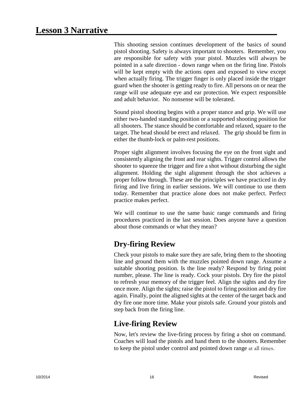This shooting session continues development of the basics of sound pistol shooting. Safety is always important to shooters. Remember, you are responsible for safety with your pistol. Muzzles will always be pointed in a safe direction - down range when on the firing line. Pistols will be kept empty with the actions open and exposed to view except when actually firing. The trigger finger is only placed inside the trigger guard when the shooter is getting ready to fire. All persons on or near the range will use adequate eye and ear protection. We expect responsible and adult behavior. No nonsense will be tolerated.

Sound pistol shooting begins with a proper stance and grip. We will use either two-handed standing position or a supported shooting position for all shooters. The stance should be comfortable and relaxed, square to the target. The head should be erect and relaxed. The grip should be firm in either the thumb-lock or palm-rest positions.

Proper sight alignment involves focusing the eye on the front sight and consistently aligning the front and rear sights. Trigger control allows the shooter to squeeze the trigger and fire a shot without disturbing the sight alignment. Holding the sight alignment through the shot achieves a proper follow through. These are the principles we have practiced in dry firing and live firing in earlier sessions. We will continue to use them today. Remember that practice alone does not make perfect. Perfect practice makes perfect.

We will continue to use the same basic range commands and firing procedures practiced in the last session. Does anyone have a question about those commands or what they mean?

# **Dry-firing Review**

Check your pistols to make sure they are safe, bring them to the shooting line and ground them with the muzzles pointed down range. Assume a suitable shooting position. Is the line ready? Respond by firing point number, please. The line is ready. Cock your pistols. Dry fire the pistol to refresh your memory of the trigger feel. Align the sights and dry fire once more. Align the sights; raise the pistol to firing position and dry fire again. Finally, point the aligned sights at the center of the target back and dry fire one more time. Make your pistols safe. Ground your pistols and step back from the firing line.

# **Live-firing Review**

Now, let's review the live-firing process by firing a shot on command. Coaches will load the pistols and hand them to the shooters. Remember to keep the pistol under control and pointed down range at all times.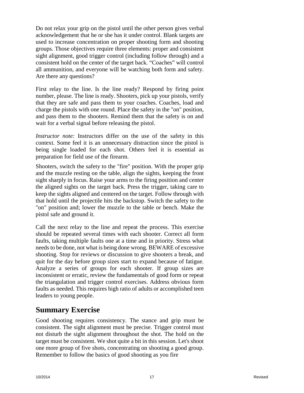Do not relax your grip on the pistol until the other person gives verbal acknowledgement that he or she has it under control. Blank targets are used to increase concentration on proper shooting form and shooting groups. Those objectives require three elements: proper and consistent sight alignment, good trigger control (including follow through) and a consistent hold on the center of the target back. "Coaches" will control all ammunition, and everyone will be watching both form and safety. Are there any questions?

First relay to the line. Is the line ready? Respond by firing point number, please. The line is ready. Shooters, pick up your pistols, verify that they are safe and pass them to your coaches. Coaches, load and charge the pistols with one round. Place the safety in the "on" position, and pass them to the shooters. Remind them that the safety is on and wait for a verbal signal before releasing the pistol.

*Instructor note:* Instructors differ on the use of the safety in this context. Some feel it is an unnecessary distraction since the pistol is being single loaded for each shot. Others feel it is essential as preparation for field use of the firearm.

Shooters, switch the safety to the "fire" position. With the proper grip and the muzzle resting on the table, align the sights, keeping the front sight sharply in focus. Raise your arms to the firing position and center the aligned sights on the target back. Press the trigger, taking care to keep the sights aligned and centered on the target. Follow through with that hold until the projectile hits the backstop. Switch the safety to the "on" position and; lower the muzzle to the table or bench. Make the pistol safe and ground it.

Call the next relay to the line and repeat the process. This exercise should be repeated several times with each shooter. Correct all form faults, taking multiple faults one at a time and in priority. Stress what needs to be done, not what is being done wrong. BEWARE of excessive shooting. Stop for reviews or discussion to give shooters a break, and quit for the day before group sizes start to expand because of fatigue. Analyze a series of groups for each shooter. If group sizes are inconsistent or erratic, review the fundamentals of good form or repeat the triangulation and trigger control exercises. Address obvious form faults as needed. This requires high ratio of adults or accomplished teen leaders to young people.

#### **Summary Exercise**

Good shooting requires consistency. The stance and grip must be consistent. The sight alignment must be precise. Trigger control must not disturb the sight alignment throughout the shot. The hold on the target must be consistent. We shot quite a bit in this session. Let's shoot one more group of five shots, concentrating on shooting a good group. Remember to follow the basics of good shooting as you fire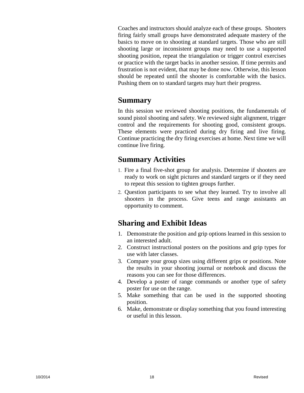Coaches and instructors should analyze each of these groups. Shooters firing fairly small groups have demonstrated adequate mastery of the basics to move on to shooting at standard targets. Those who are still shooting large or inconsistent groups may need to use a supported shooting position, repeat the triangulation or trigger control exercises or practice with the target backs in another session. If time permits and frustration is not evident, that may be done now. Otherwise, this lesson should be repeated until the shooter is comfortable with the basics. Pushing them on to standard targets may hurt their progress.

#### **Summary**

In this session we reviewed shooting positions, the fundamentals of sound pistol shooting and safety. We reviewed sight alignment, trigger control and the requirements for shooting good, consistent groups. These elements were practiced during dry firing and live firing. Continue practicing the dry firing exercises at home. Next time we will continue live firing.

#### **Summary Activities**

- 1. Fire a final five-shot group for analysis. Determine if shooters are ready to work on sight pictures and standard targets or if they need to repeat this session to tighten groups further.
- 2. Question participants to see what they learned. Try to involve all shooters in the process. Give teens and range assistants an opportunity to comment.

#### **Sharing and Exhibit Ideas**

- 1. Demonstrate the position and grip options learned in this session to an interested adult.
- 2. Construct instructional posters on the positions and grip types for use with later classes.
- 3. Compare your group sizes using different grips or positions. Note the results in your shooting journal or notebook and discuss the reasons you can see for those differences.
- 4. Develop a poster of range commands or another type of safety poster for use on the range.
- 5. Make something that can be used in the supported shooting position.
- 6. Make, demonstrate or display something that you found interesting or useful in this lesson.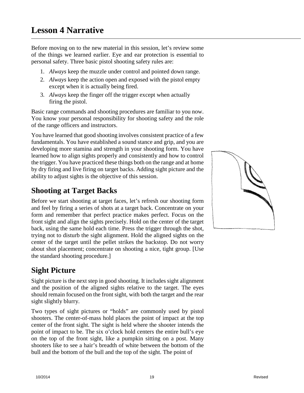Before moving on to the new material in this session, let's review some of the things we learned earlier. Eye and ear protection is essential to personal safety. Three basic pistol shooting safety rules are:

- 1. *Always* keep the muzzle under control and pointed down range.
- 2. *Always* keep the action open and exposed with the pistol empty except when it is actually being fired.
- 3. *Always* keep the finger off the trigger except when actually firing the pistol.

Basic range commands and shooting procedures are familiar to you now. You know your personal responsibility for shooting safety and the role of the range officers and instructors.

You have learned that good shooting involves consistent practice of a few fundamentals. You have established a sound stance and grip, and you are developing more stamina and strength in your shooting form. You have learned how to align sights properly and consistently and how to control the trigger. You have practiced these things both on the range and at home by dry firing and live firing on target backs. Adding sight picture and the ability to adjust sights is the objective of this session.

# **Shooting at Target Backs**

Before we start shooting at target faces, let's refresh our shooting form and feel by firing a series of shots at a target back. Concentrate on your form and remember that perfect practice makes perfect. Focus on the front sight and align the sights precisely. Hold on the center of the target back, using the same hold each time. Press the trigger through the shot, trying not to disturb the sight alignment. Hold the aligned sights on the center of the target until the pellet strikes the backstop. Do not worry about shot placement; concentrate on shooting a nice, tight group. [Use the standard shooting procedure.]

# **Sight Picture**

Sight picture is the next step in good shooting. It includes sight alignment and the position of the aligned sights relative to the target. The eyes should remain focused on the front sight, with both the target and the rear sight slightly blurry.

Two types of sight pictures or "holds" are commonly used by pistol shooters. The center-of-mass hold places the point of impact at the top center of the front sight. The sight is held where the shooter intends the point of impact to be. The six o'clock hold centers the entire bull's eye on the top of the front sight, like a pumpkin sitting on a post. Many shooters like to see a hair's breadth of white between the bottom of the bull and the bottom of the bull and the top of the sight. The point of

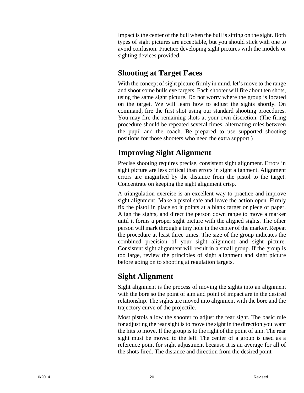Impact is the center of the bull when the bull is sitting on the sight. Both types of sight pictures are acceptable, but you should stick with one to avoid confusion. Practice developing sight pictures with the models or sighting devices provided.

# **Shooting at Target Faces**

With the concept of sight picture firmly in mind, let's move to the range and shoot some bulls eye targets. Each shooter will fire about ten shots, using the same sight picture. Do not worry where the group is located on the target. We will learn how to adjust the sights shortly. On command, fire the first shot using our standard shooting procedures. You may fire the remaining shots at your own discretion. (The firing procedure should be repeated several times, alternating roles between the pupil and the coach. Be prepared to use supported shooting positions for those shooters who need the extra support.)

# **Improving Sight Alignment**

Precise shooting requires precise, consistent sight alignment. Errors in sight picture are less critical than errors in sight alignment. Alignment errors are magnified by the distance from the pistol to the target. Concentrate on keeping the sight alignment crisp.

A triangulation exercise is an excellent way to practice and improve sight alignment. Make a pistol safe and leave the action open. Firmly fix the pistol in place so it points at a blank target or piece of paper. Align the sights, and direct the person down range to move a marker until it forms a proper sight picture with the aligned sights. The other person will mark through a tiny hole in the center of the marker. Repeat the procedure at least three times. The size of the group indicates the combined precision of your sight alignment and sight picture. Consistent sight alignment will result in a small group. If the group is too large, review the principles of sight alignment and sight picture before going on to shooting at regulation targets.

# **Sight Alignment**

Sight alignment is the process of moving the sights into an alignment with the bore so the point of aim and point of impact are in the desired relationship. The sights are moved into alignment with the bore and the trajectory curve of the projectile.

Most pistols allow the shooter to adjust the rear sight. The basic rule for adjusting the rear sight is to move the sight in the direction you want the hits to move. If the group is to the right of the point of aim. The rear sight must be moved to the left. The center of a group is used as a reference point for sight adjustment because it is an average for all of the shots fired. The distance and direction from the desired point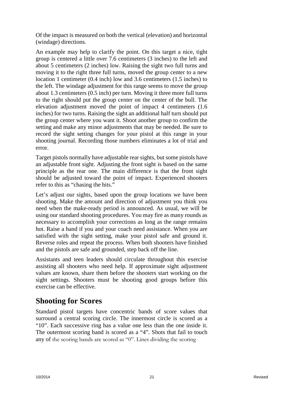Of the impact is measured on both the vertical (elevation) and horizontal (windage) directions.

An example may help to clarify the point. On this target a nice, tight group is centered a little over 7.6 centimeters (3 inches) to the left and about 5 centimeters (2 inches) low. Raising the sight two full turns and moving it to the right three full turns, moved the group center to a new location 1 centimeter (0.4 inch) low and 3.6 centimeters (1.5 inches) to the left. The windage adjustment for this range seems to move the group about 1.3 centimeters (0.5 inch) per turn. Moving it three more full turns to the right should put the group center on the center of the bull. The elevation adjustment moved the point of impact 4 centimeters (1.6 inches) for two turns. Raising the sight an additional half turn should put the group center where you want it. Shoot another group to confirm the setting and make any minor adjustments that may be needed. Be sure to record the sight setting changes for your pistol at this range in your shooting journal. Recording those numbers eliminates a lot of trial and error.

Target pistols normally have adjustable rear sights, but some pistols have an adjustable front sight. Adjusting the front sight is based on the same principle as the rear one. The main difference is that the front sight should be adjusted toward the point of impact. Experienced shooters refer to this as "chasing the hits."

Let's adjust our sights, based upon the group locations we have been shooting. Make the amount and direction of adjustment you think you need when the make-ready period is announced. As usual, we will be using our standard shooting procedures. You may fire as many rounds as necessary to accomplish your corrections as long as the range remains hot. Raise a hand if you and your coach need assistance. When you are satisfied with the sight setting, make your pistol safe and ground it. Reverse roles and repeat the process. When both shooters have finished and the pistols are safe and grounded, step back off the line.

Assistants and teen leaders should circulate throughout this exercise assisting all shooters who need help. If approximate sight adjustment values are known, share them before the shooters start working on the sight settings. Shooters must be shooting good groups before this exercise can be effective.

#### **Shooting for Scores**

Standard pistol targets have concentric bands of score values that surround a central scoring circle. The innermost circle is scored as a "10". Each successive ring has a value one less than the one inside it. The outermost scoring band is scored as a "4". Shots that fail to touch any of the scoring bands are scored as "0". Lines dividing the scoring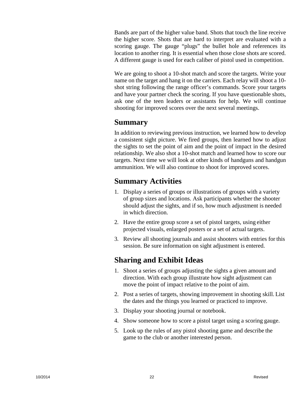Bands are part of the higher value band. Shots that touch the line receive the higher score. Shots that are hard to interpret are evaluated with a scoring gauge. The gauge "plugs" the bullet hole and references its location to another ring. It is essential when those close shots are scored. A different gauge is used for each caliber of pistol used in competition.

We are going to shoot a 10-shot match and score the targets. Write your name on the target and hang it on the carriers. Each relay will shoot a 10 shot string following the range officer's commands. Score your targets and have your partner check the scoring. If you have questionable shots, ask one of the teen leaders or assistants for help. We will continue shooting for improved scores over the next several meetings.

#### **Summary**

In addition to reviewing previous instruction, we learned how to develop a consistent sight picture. We fired groups, then learned how to adjust the sights to set the point of aim and the point of impact in the desired relationship. We also shot a 10-shot match and learned how to score our targets. Next time we will look at other kinds of handguns and handgun ammunition. We will also continue to shoot for improved scores.

## **Summary Activities**

- 1. Display a series of groups or illustrations of groups with a variety of group sizes and locations. Ask participants whether the shooter should adjust the sights, and if so, how much adjustment is needed in which direction.
- 2. Have the entire group score a set of pistol targets, using either projected visuals, enlarged posters or a set of actual targets.
- 3. Review all shooting journals and assist shooters with entries for this session. Be sure information on sight adjustment is entered.

# **Sharing and Exhibit Ideas**

- 1. Shoot a series of groups adjusting the sights a given amount and direction. With each group illustrate how sight adjustment can move the point of impact relative to the point of aim.
- 2. Post a series of targets, showing improvement in shooting skill. List the dates and the things you learned or practiced to improve.
- 3. Display your shooting journal or notebook.
- 4. Show someone how to score a pistol target using a scoring gauge.
- 5. Look up the rules of any pistol shooting game and describe the game to the club or another interested person.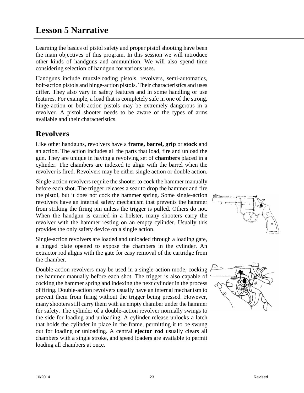Learning the basics of pistol safety and proper pistol shooting have been the main objectives of this program. In this session we will introduce other kinds of handguns and ammunition. We will also spend time considering selection of handgun for various uses.

Handguns include muzzleloading pistols, revolvers, semi-automatics, bolt-action pistols and hinge-action pistols. Their characteristics and uses differ. They also vary in safety features and in some handling or use features. For example, a load that is completely safe in one of the strong, hinge-action or bolt-action pistols may be extremely dangerous in a revolver. A pistol shooter needs to be aware of the types of arms available and their characteristics.

# **Revolvers**

Like other handguns, revolvers have a **frame, barrel, grip** or **stock** and an action. The action includes all the parts that load, fire and unload the gun. They are unique in having a revolving set of **chambers** placed in a cylinder. The chambers are indexed to align with the barrel when the revolver is fired. Revolvers may be either single action or double action.

Single-action revolvers require the shooter to cock the hammer manually before each shot. The trigger releases a sear to drop the hammer and fire the pistol, but it does not cock the hammer spring. Some single-action revolvers have an internal safety mechanism that prevents the hammer from striking the firing pin unless the trigger is pulled. Others do not. When the handgun is carried in a holster, many shooters carry the revolver with the hammer resting on an empty cylinder. Usually this provides the only safety device on a single action.

Single-action revolvers are loaded and unloaded through a loading gate, a hinged plate opened to expose the chambers in the cylinder. An extractor rod aligns with the gate for easy removal of the cartridge from the chamber.

Double-action revolvers may be used in a single-action mode, cocking the hammer manually before each shot. The trigger is also capable of cocking the hammer spring and indexing the next cylinder in the process of firing. Double-action revolvers usually have an internal mechanism to prevent them from firing without the trigger being pressed. However, many shooters still carry them with an empty chamber under the hammer for safety. The cylinder of a double-action revolver normally swings to the side for loading and unloading. A cylinder release unlocks a latch that holds the cylinder in place in the frame, permitting it to be swung out for loading or unloading. A central **ejector rod** usually clears all chambers with a single stroke, and speed loaders are available to permit loading all chambers at once.



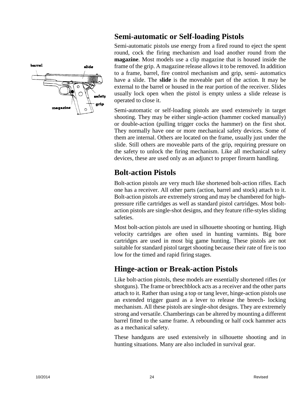

# **Semi-automatic or Self-loading Pistols**

Semi-automatic pistols use energy from a fired round to eject the spent round, cock the firing mechanism and load another round from the **magazine**. Most models use a clip magazine that is housed inside the frame of the grip. A magazine release allows it to be removed. In addition to a frame, barrel, fire control mechanism and grip, semi- automatics have a slide. The **slide** is the moveable part of the action. It may be external to the barrel or housed in the rear portion of the receiver. Slides usually lock open when the pistol is empty unless a slide release is operated to close it.

Semi-automatic or self-loading pistols are used extensively in target shooting. They may be either single-action (hammer cocked manually) or double-action (pulling trigger cocks the hammer) on the first shot. They normally have one or more mechanical safety devices. Some of them are internal. Others are located on the frame, usually just under the slide. Still others are moveable parts of the grip, requiring pressure on the safety to unlock the firing mechanism. Like all mechanical safety devices, these are used only as an adjunct to proper firearm handling.

# **Bolt-action Pistols**

Bolt-action pistols are very much like shortened bolt-action rifles. Each one has a receiver. All other parts (action, barrel and stock) attach to it. Bolt-action pistols are extremely strong and may be chambered for highpressure rifle cartridges as well as standard pistol cartridges. Most boltaction pistols are single-shot designs, and they feature rifle-styles sliding safeties.

Most bolt-action pistols are used in silhouette shooting or hunting. High velocity cartridges are often used in hunting varmints. Big bore cartridges are used in most big game hunting. These pistols are not suitable for standard pistol target shooting because their rate of fire is too low for the timed and rapid firing stages.

# **Hinge-action or Break-action Pistols**

Like bolt-action pistols, these models are essentially shortened rifles (or shotguns). The frame or breechblock acts as a receiver and the other parts attach to it. Rather than using a top or tang lever, hinge-action pistols use an extended trigger guard as a lever to release the breech- locking mechanism. All these pistols are single-shot designs. They are extremely strong and versatile. Chamberings can be altered by mounting a different barrel fitted to the same frame. A rebounding or half cock hammer acts as a mechanical safety.

These handguns are used extensively in silhouette shooting and in hunting situations. Many are also included in survival gear.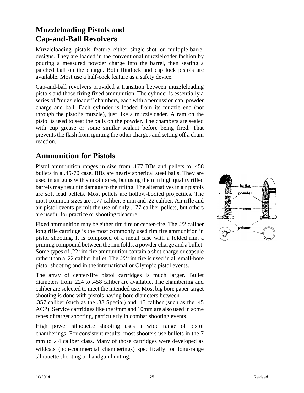# **Muzzleloading Pistols and Cap-and-Ball Revolvers**

Muzzleloading pistols feature either single-shot or multiple-barrel designs. They are loaded in the conventional muzzleloader fashion by pouring a measured powder charge into the barrel, then seating a patched ball on the charge. Both flintlock and cap lock pistols are available. Most use a half-cock feature as a safety device.

Cap-and-ball revolvers provided a transition between muzzleloading pistols and those firing fixed ammunition. The cylinder is essentially a series of "muzzleloader" chambers, each with a percussion cap, powder charge and ball. Each cylinder is loaded from its muzzle end (not through the pistol's muzzle), just like a muzzleloader. A ram on the pistol is used to seat the balls on the powder. The chambers are sealed with cup grease or some similar sealant before being fired. That prevents the flash from igniting the other charges and setting off a chain reaction.

# **Ammunition for Pistols**

Pistol ammunition ranges in size from .177 BBs and pellets to .458 bullets in a .45-70 case. BBs are nearly spherical steel balls. They are used in air guns with smoothbores, but using them in high quality rifled barrels may result in damage to the rifling. The alternatives in air pistols are soft lead pellets. Most pellets are hollow-bodied projectiles. The most common sizes are .177 caliber, 5 mm and .22 caliber. Air rifle and air pistol events permit the use of only .177 caliber pellets, but others are useful for practice or shooting pleasure.

Fixed ammunition may be either rim fire or center-fire. The .22 caliber long rifle cartridge is the most commonly used rim fire ammunition in pistol shooting. It is composed of a metal case with a folded rim, a priming compound between the rim folds, a powder charge and a bullet. Some types of .22 rim fire ammunition contain a shot charge or capsule rather than a .22 caliber bullet. The .22 rim fire is used in all small-bore pistol shooting and in the international or Olympic pistol events.

The array of center-fire pistol cartridges is much larger. Bullet diameters from .224 to .458 caliber are available. The chambering and caliber are selected to meet the intended use. Most big bore paper target shooting is done with pistols having bore diameters between

.357 caliber (such as the .38 Special) and .45 caliber (such as the .45 ACP). Service cartridges like the 9mm and 10mm are also used in some types of target shooting, particularly in combat shooting events.

High power silhouette shooting uses a wide range of pistol chamberings. For consistent results, most shooters use bullets in the 7 mm to .44 caliber class. Many of those cartridges were developed as wildcats (non-commercial chamberings) specifically for long-range silhouette shooting or handgun hunting.

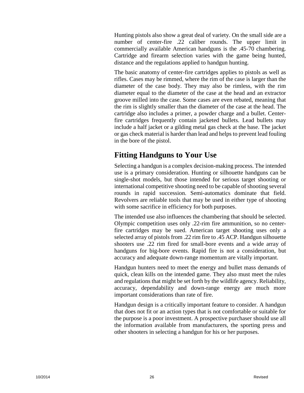Hunting pistols also show a great deal of variety. On the small side are a number of center-fire .22 caliber rounds. The upper limit in commercially available American handguns is the .45-70 chambering. Cartridge and firearm selection varies with the game being hunted, distance and the regulations applied to handgun hunting.

The basic anatomy of center-fire cartridges applies to pistols as well as rifles. Cases may be rimmed, where the rim of the case is larger than the diameter of the case body. They may also be rimless, with the rim diameter equal to the diameter of the case at the head and an extractor groove milled into the case. Some cases are even rebated, meaning that the rim is slightly smaller than the diameter of the case at the head. The cartridge also includes a primer, a powder charge and a bullet. Centerfire cartridges frequently contain jacketed bullets. Lead bullets may include a half jacket or a gilding metal gas check at the base. The jacket or gas check material is harder than lead and helps to prevent lead fouling in the bore of the pistol.

# **Fitting Handguns to Your Use**

Selecting a handgun is a complex decision-making process. The intended use is a primary consideration. Hunting or silhouette handguns can be single-shot models, but those intended for serious target shooting or international competitive shooting need to be capable of shooting several rounds in rapid succession. Semi-automatics dominate that field. Revolvers are reliable tools that may be used in either type of shooting with some sacrifice in efficiency for both purposes.

The intended use also influences the chambering that should be selected. Olympic competition uses only .22-rim fire ammunition, so no centerfire cartridges may be sued. American target shooting uses only a selected array of pistols from .22 rim fire to .45 ACP. Handgun silhouette shooters use .22 rim fired for small-bore events and a wide array of handguns for big-bore events. Rapid fire is not a consideration, but accuracy and adequate down-range momentum are vitally important.

Handgun hunters need to meet the energy and bullet mass demands of quick, clean kills on the intended game. They also must meet the rules and regulations that might be set forth by the wildlife agency. Reliability, accuracy, dependability and down-range energy are much more important considerations than rate of fire.

Handgun design is a critically important feature to consider. A handgun that does not fit or an action types that is not comfortable or suitable for the purpose is a poor investment. A prospective purchaser should use all the information available from manufacturers, the sporting press and other shooters in selecting a handgun for his or her purposes.